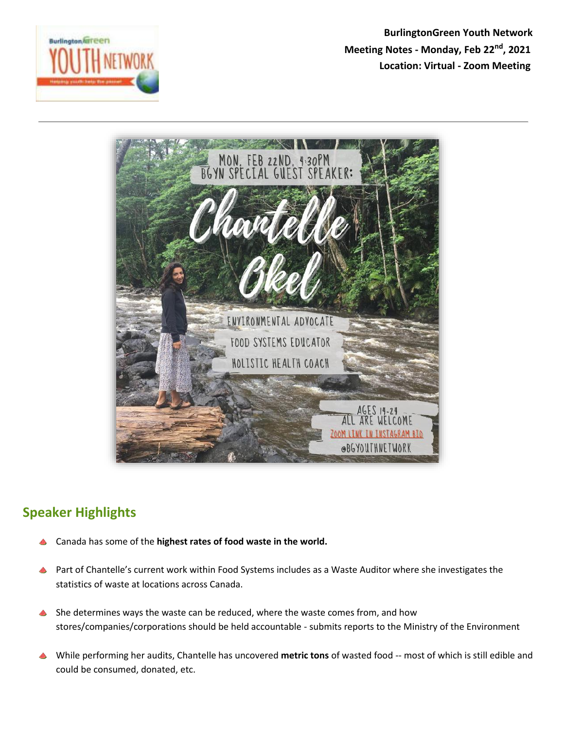

 **BurlingtonGreen Youth Network Meeting Notes - Monday, Feb 22nd, 2021 Location: Virtual - Zoom Meeting** 



## **Speaker Highlights**

- Canada has some of the **highest rates of food waste in the world.**
- **A** Part of Chantelle's current work within Food Systems includes as a Waste Auditor where she investigates the statistics of waste at locations across Canada.
- She determines ways the waste can be reduced, where the waste comes from, and how stores/companies/corporations should be held accountable - submits reports to the Ministry of the Environment
- While performing her audits, Chantelle has uncovered **metric tons** of wasted food -- most of which is still edible and could be consumed, donated, etc.